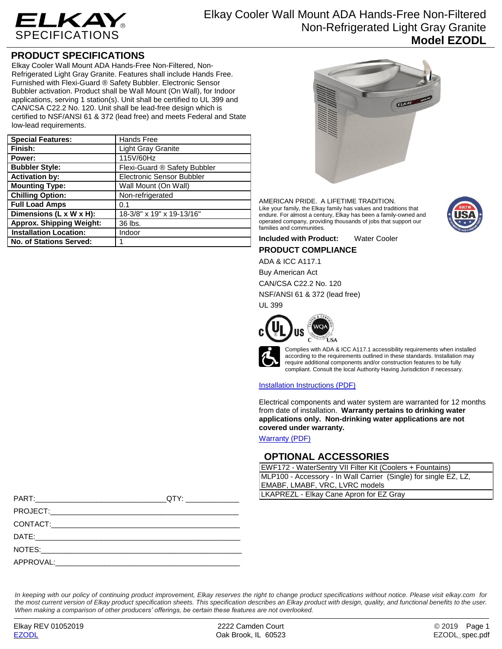

# **PRODUCT SPECIFICATIONS**

Elkay Cooler Wall Mount ADA Hands-Free Non-Filtered, Non-Refrigerated Light Gray Granite. Features shall include Hands Free. Furnished with Flexi-Guard ® Safety Bubbler. Electronic Sensor Bubbler activation. Product shall be Wall Mount (On Wall), for Indoor applications, serving 1 station(s). Unit shall be certified to UL 399 and CAN/CSA C22.2 No. 120. Unit shall be lead-free design which is certified to NSF/ANSI 61 & 372 (lead free) and meets Federal and State low-lead requirements.

| <b>Special Features:</b>        | Hands Free                   |
|---------------------------------|------------------------------|
| Finish:                         | <b>Light Gray Granite</b>    |
| Power:                          | 115V/60Hz                    |
| <b>Bubbler Style:</b>           | Flexi-Guard ® Safety Bubbler |
| <b>Activation by:</b>           | Electronic Sensor Bubbler    |
| <b>Mounting Type:</b>           | Wall Mount (On Wall)         |
| <b>Chilling Option:</b>         | Non-refrigerated             |
| <b>Full Load Amps</b>           | 0.1                          |
| Dimensions (L x W x H):         | 18-3/8" x 19" x 19-13/16"    |
| <b>Approx. Shipping Weight:</b> | 36 lbs.                      |
| <b>Installation Location:</b>   | Indoor                       |
| <b>No. of Stations Served:</b>  |                              |



AMERICAN PRIDE. A LIFETIME TRADITION. Like your family, the Elkay family has values and traditions that endure. For almost a century, Elkay has been a family-owned and operated company, providing thousands of jobs that support our families and communities.



## **Included with Product:** Water Cooler **PRODUCT COMPLIANCE**

ADA & ICC A117.1

Buy American Act

CAN/CSA C22.2 No. 120

NSF/ANSI 61 & 372 (lead free)

UL 399



Complies with ADA & ICC A117.1 accessibility requirements when installed according to the requirements outlined in these standards. Installation may require additional components and/or construction features to be fully compliant. Consult the local Authority Having Jurisdiction if necessary.

[Installation Instructions \(PDF\)](http://www.elkay.com/wcsstore/lkdocs/care-cleaning-install-warranty-sheets/1000002686.pdf)

Electrical components and water system are warranted for 12 months from date of installation. **Warranty pertains to drinking water applications only. Non-drinking water applications are not covered under warranty.**

[Warranty](http://www.elkay.com/wcsstore/lkdocs/care-cleaning-install-warranty-sheets/96993c.pdf) (PDF)

## **OPTIONAL ACCESSORIES**

| EWF172 - WaterSentry VII Filter Kit (Coolers + Fountains)        |  |  |
|------------------------------------------------------------------|--|--|
| MLP100 - Accessory - In Wall Carrier (Single) for single EZ, LZ, |  |  |
| EMABF, LMABF, VRC, LVRC models                                   |  |  |
| LKAPREZL - Elkay Cane Apron for EZ Gray                          |  |  |

|           | QTY: and the state of the state of the state of the state of the state of the state of the state of the state o | LKAPREZL - Elkay Cane Apron for EZ Gray |
|-----------|-----------------------------------------------------------------------------------------------------------------|-----------------------------------------|
|           |                                                                                                                 |                                         |
|           |                                                                                                                 |                                         |
|           |                                                                                                                 |                                         |
| NOTES:    |                                                                                                                 |                                         |
| APPROVAL: |                                                                                                                 |                                         |

*In keeping with our policy of continuing product improvement, Elkay reserves the right to change product specifications without notice. Please visit elkay.com for the most current version of Elkay product specification sheets. This specification describes an Elkay product with design, quality, and functional benefits to the user. When making a comparison of other producers' offerings, be certain these features are not overlooked.*